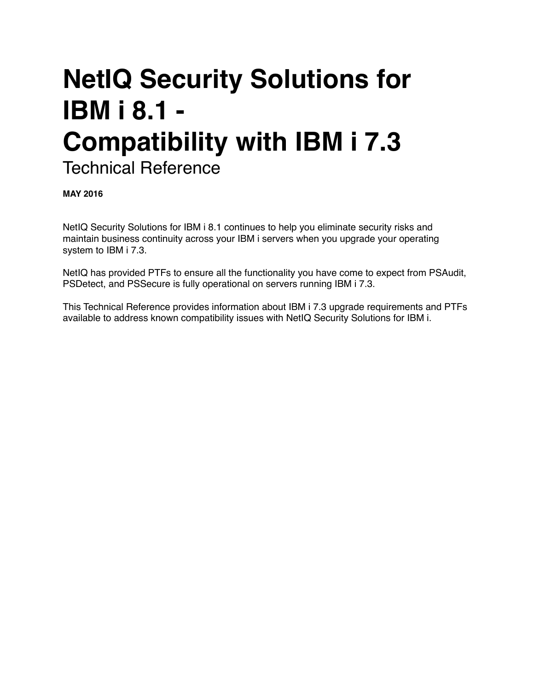# **NetIQ Security Solutions for IBM i 8.1 - Compatibility with IBM i 7.3** Technical Reference

**MAY 2016**

NetIQ Security Solutions for IBM i 8.1 continues to help you eliminate security risks and maintain business continuity across your IBM i servers when you upgrade your operating system to IBM i 7.3.

NetIQ has provided PTFs to ensure all the functionality you have come to expect from PSAudit, PSDetect, and PSSecure is fully operational on servers running IBM i 7.3.

This Technical Reference provides information about IBM i 7.3 upgrade requirements and PTFs available to address known compatibility issues with NetIQ Security Solutions for IBM i.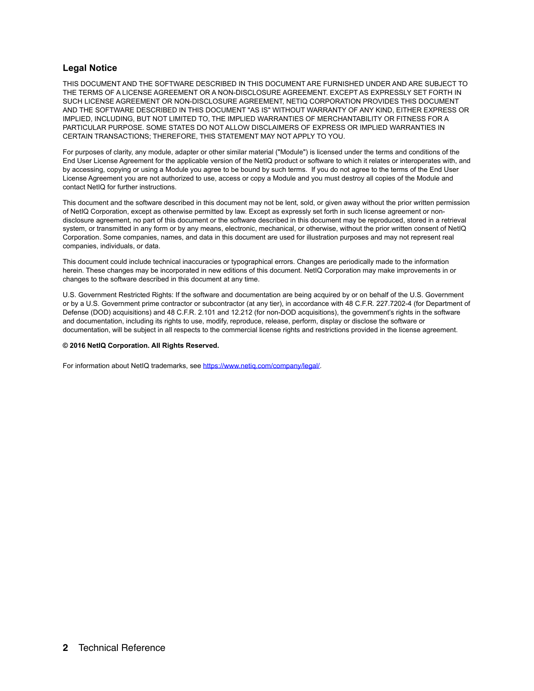#### **Legal Notice**

THIS DOCUMENT AND THE SOFTWARE DESCRIBED IN THIS DOCUMENT ARE FURNISHED UNDER AND ARE SUBJECT TO THE TERMS OF A LICENSE AGREEMENT OR A NON-DISCLOSURE AGREEMENT. EXCEPT AS EXPRESSLY SET FORTH IN SUCH LICENSE AGREEMENT OR NON-DISCLOSURE AGREEMENT, NETIQ CORPORATION PROVIDES THIS DOCUMENT AND THE SOFTWARE DESCRIBED IN THIS DOCUMENT "AS IS" WITHOUT WARRANTY OF ANY KIND, EITHER EXPRESS OR IMPLIED, INCLUDING, BUT NOT LIMITED TO, THE IMPLIED WARRANTIES OF MERCHANTABILITY OR FITNESS FOR A PARTICULAR PURPOSE. SOME STATES DO NOT ALLOW DISCLAIMERS OF EXPRESS OR IMPLIED WARRANTIES IN CERTAIN TRANSACTIONS; THEREFORE, THIS STATEMENT MAY NOT APPLY TO YOU.

For purposes of clarity, any module, adapter or other similar material ("Module") is licensed under the terms and conditions of the End User License Agreement for the applicable version of the NetIQ product or software to which it relates or interoperates with, and by accessing, copying or using a Module you agree to be bound by such terms. If you do not agree to the terms of the End User License Agreement you are not authorized to use, access or copy a Module and you must destroy all copies of the Module and contact NetIQ for further instructions.

This document and the software described in this document may not be lent, sold, or given away without the prior written permission of NetIQ Corporation, except as otherwise permitted by law. Except as expressly set forth in such license agreement or nondisclosure agreement, no part of this document or the software described in this document may be reproduced, stored in a retrieval system, or transmitted in any form or by any means, electronic, mechanical, or otherwise, without the prior written consent of NetIQ Corporation. Some companies, names, and data in this document are used for illustration purposes and may not represent real companies, individuals, or data.

This document could include technical inaccuracies or typographical errors. Changes are periodically made to the information herein. These changes may be incorporated in new editions of this document. NetIQ Corporation may make improvements in or changes to the software described in this document at any time.

U.S. Government Restricted Rights: If the software and documentation are being acquired by or on behalf of the U.S. Government or by a U.S. Government prime contractor or subcontractor (at any tier), in accordance with 48 C.F.R. 227.7202-4 (for Department of Defense (DOD) acquisitions) and 48 C.F.R. 2.101 and 12.212 (for non-DOD acquisitions), the government's rights in the software and documentation, including its rights to use, modify, reproduce, release, perform, display or disclose the software or documentation, will be subject in all respects to the commercial license rights and restrictions provided in the license agreement.

#### **© 2016 NetIQ Corporation. All Rights Reserved.**

For information about NetIQ trademarks, see [https://www.netiq.com/company/legal/.](https://www.netiq.com/company/legal/)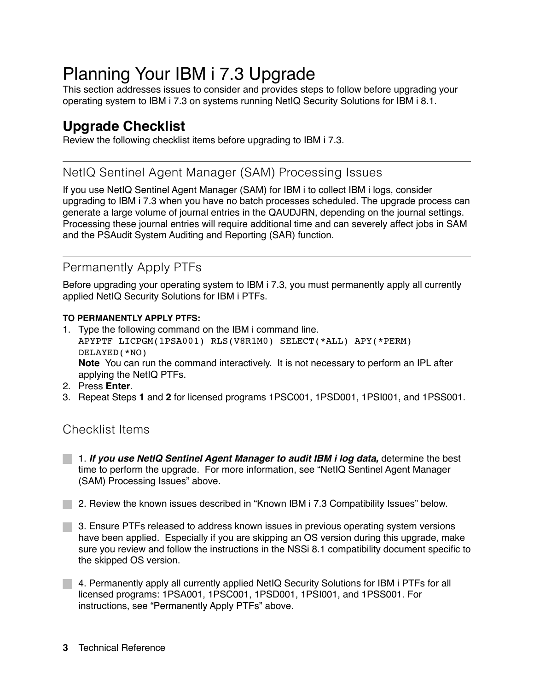# Planning Your IBM i 7.3 Upgrade

This section addresses issues to consider and provides steps to follow before upgrading your operating system to IBM i 7.3 on systems running NetIQ Security Solutions for IBM i 8.1.

## **Upgrade Checklist**

Review the following checklist items before upgrading to IBM i 7.3.

### NetIQ Sentinel Agent Manager (SAM) Processing Issues

If you use NetIQ Sentinel Agent Manager (SAM) for IBM i to collect IBM i logs, consider upgrading to IBM i 7.3 when you have no batch processes scheduled. The upgrade process can generate a large volume of journal entries in the QAUDJRN, depending on the journal settings. Processing these journal entries will require additional time and can severely affect jobs in SAM and the PSAudit System Auditing and Reporting (SAR) function.

## Permanently Apply PTFs

Before upgrading your operating system to IBM i 7.3, you must permanently apply all currently applied NetIQ Security Solutions for IBM i PTFs.

#### **TO PERMANENTLY APPLY PTFS:**

- 1. Type the following command on the IBM i command line. APYPTF LICPGM(1PSA001) RLS(V8R1M0) SELECT(\*ALL) APY(\*PERM) DELAYED(\*NO) **Note** You can run the command interactively. It is not necessary to perform an IPL after applying the NetIQ PTFs.
- 2. Press **Enter**.
- 3. Repeat Steps **1** and **2** for licensed programs 1PSC001, 1PSD001, 1PSI001, and 1PSS001.

### Checklist Items

- 1. *If you use NetIQ Sentinel Agent Manager to audit IBM i log data,* determine the best time to perform the upgrade. For more information, see "NetIQ Sentinel Agent Manager (SAM) Processing Issues" above.
- **2. Review the known issues described in "Known IBM i 7.3 Compatibility Issues" below.**
- 3. Ensure PTFs released to address known issues in previous operating system versions have been applied. Especially if you are skipping an OS version during this upgrade, make sure you review and follow the instructions in the NSSi 8.1 compatibility document specific to the skipped OS version.
- 4. Permanently apply all currently applied NetIQ Security Solutions for IBM i PTFs for all licensed programs: 1PSA001, 1PSC001, 1PSD001, 1PSI001, and 1PSS001. For instructions, see "Permanently Apply PTFs" above.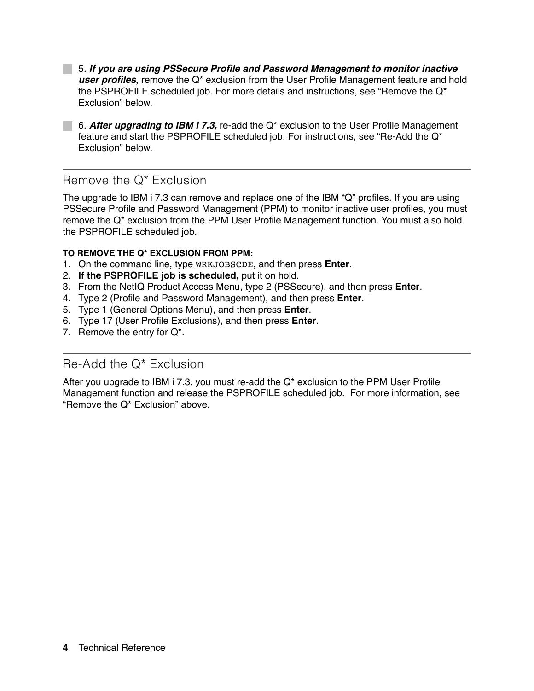5. *If you are using PSSecure Profile and Password Management to monitor inactive user profiles,* remove the Q\* exclusion from the User Profile Management feature and hold the PSPROFILE scheduled job. For more details and instructions, see "Remove the  $Q^*$ Exclusion" below.

6. *After upgrading to IBM i 7.3,* re-add the Q\* exclusion to the User Profile Management feature and start the PSPROFILE scheduled job. For instructions, see "Re-Add the Q\* Exclusion" below.

## Remove the Q\* Exclusion

The upgrade to IBM i 7.3 can remove and replace one of the IBM "Q" profiles. If you are using PSSecure Profile and Password Management (PPM) to monitor inactive user profiles, you must remove the Q\* exclusion from the PPM User Profile Management function. You must also hold the PSPROFILE scheduled job.

#### **TO REMOVE THE Q\* EXCLUSION FROM PPM:**

- 1. On the command line, type WRKJOBSCDE, and then press **Enter**.
- 2. **If the PSPROFILE job is scheduled,** put it on hold.
- 3. From the NetIQ Product Access Menu, type 2 (PSSecure), and then press **Enter**.
- 4. Type 2 (Profile and Password Management), and then press **Enter**.
- 5. Type 1 (General Options Menu), and then press **Enter**.
- 6. Type 17 (User Profile Exclusions), and then press **Enter**.
- 7. Remove the entry for Q\*.

### Re-Add the Q\* Exclusion

After you upgrade to IBM i 7.3, you must re-add the Q\* exclusion to the PPM User Profile Management function and release the PSPROFILE scheduled job. For more information, see "Remove the Q\* Exclusion" above.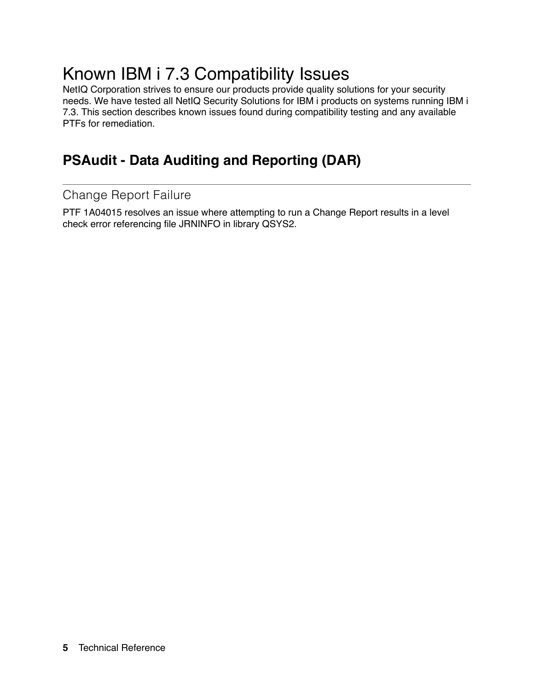# Known IBM i 7.3 Compatibility Issues

NetIQ Corporation strives to ensure our products provide quality solutions for your security needs. We have tested all NetIQ Security Solutions for IBM i products on systems running IBM i 7.3. This section describes known issues found during compatibility testing and any available PTFs for remediation.

# **PSAudit - Data Auditing and Reporting (DAR)**

## Change Report Failure

PTF 1A04015 resolves an issue where attempting to run a Change Report results in a level check error referencing file JRNINFO in library QSYS2.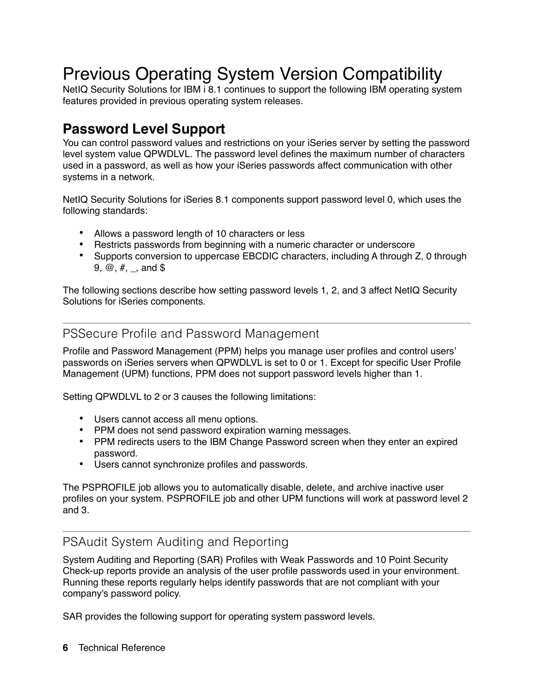# Previous Operating System Version Compatibility

NetIQ Security Solutions for IBM i 8.1 continues to support the following IBM operating system features provided in previous operating system releases.

## **Password Level Support**

You can control password values and restrictions on your iSeries server by setting the password level system value QPWDLVL. The password level defines the maximum number of characters used in a password, as well as how your iSeries passwords affect communication with other systems in a network.

NetIQ Security Solutions for iSeries 8.1 components support password level 0, which uses the following standards:

- **•** Allows a password length of 10 characters or less
- **•** Restricts passwords from beginning with a numeric character or underscore
- Supports conversion to uppercase EBCDIC characters, including A through Z, 0 through 9,  $\omega$ ,  $\#$ ,  $\Box$ , and \$

The following sections describe how setting password levels 1, 2, and 3 affect NetIQ Security Solutions for iSeries components.

#### PSSecure Profile and Password Management

Profile and Password Management (PPM) helps you manage user profiles and control users' passwords on iSeries servers when QPWDLVL is set to 0 or 1. Except for specific User Profile Management (UPM) functions, PPM does not support password levels higher than 1.

Setting QPWDLVL to 2 or 3 causes the following limitations:

- **•** Users cannot access all menu options.
- **•** PPM does not send password expiration warning messages.
- **•** PPM redirects users to the IBM Change Password screen when they enter an expired password.
- **•** Users cannot synchronize profiles and passwords.

The PSPROFILE job allows you to automatically disable, delete, and archive inactive user profiles on your system. PSPROFILE job and other UPM functions will work at password level 2 and 3.

## PSAudit System Auditing and Reporting

System Auditing and Reporting (SAR) Profiles with Weak Passwords and 10 Point Security Check-up reports provide an analysis of the user profile passwords used in your environment. Running these reports regularly helps identify passwords that are not compliant with your company's password policy.

SAR provides the following support for operating system password levels.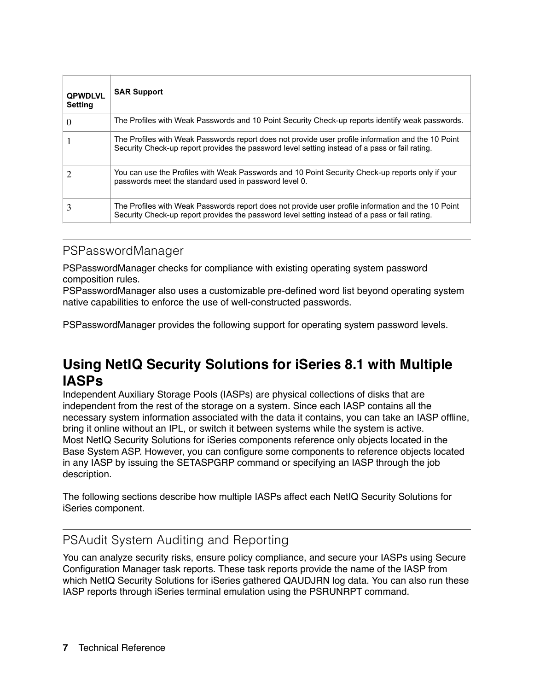| <b>QPWDLVL</b><br><b>Setting</b> | <b>SAR Support</b>                                                                                                                                                                                   |
|----------------------------------|------------------------------------------------------------------------------------------------------------------------------------------------------------------------------------------------------|
| $\theta$                         | The Profiles with Weak Passwords and 10 Point Security Check-up reports identify weak passwords.                                                                                                     |
|                                  | The Profiles with Weak Passwords report does not provide user profile information and the 10 Point<br>Security Check-up report provides the password level setting instead of a pass or fail rating. |
|                                  | You can use the Profiles with Weak Passwords and 10 Point Security Check-up reports only if your<br>passwords meet the standard used in password level 0.                                            |
|                                  | The Profiles with Weak Passwords report does not provide user profile information and the 10 Point<br>Security Check-up report provides the password level setting instead of a pass or fail rating. |

### PSPasswordManager

PSPasswordManager checks for compliance with existing operating system password composition rules.

PSPasswordManager also uses a customizable pre-defined word list beyond operating system native capabilities to enforce the use of well-constructed passwords.

PSPasswordManager provides the following support for operating system password levels.

## **Using NetIQ Security Solutions for iSeries 8.1 with Multiple IASPs**

Independent Auxiliary Storage Pools (IASPs) are physical collections of disks that are independent from the rest of the storage on a system. Since each IASP contains all the necessary system information associated with the data it contains, you can take an IASP offline, bring it online without an IPL, or switch it between systems while the system is active. Most NetIQ Security Solutions for iSeries components reference only objects located in the Base System ASP. However, you can configure some components to reference objects located in any IASP by issuing the SETASPGRP command or specifying an IASP through the job description.

The following sections describe how multiple IASPs affect each NetIQ Security Solutions for iSeries component.

### PSAudit System Auditing and Reporting

You can analyze security risks, ensure policy compliance, and secure your IASPs using Secure Configuration Manager task reports. These task reports provide the name of the IASP from which NetIQ Security Solutions for iSeries gathered QAUDJRN log data. You can also run these IASP reports through iSeries terminal emulation using the PSRUNRPT command.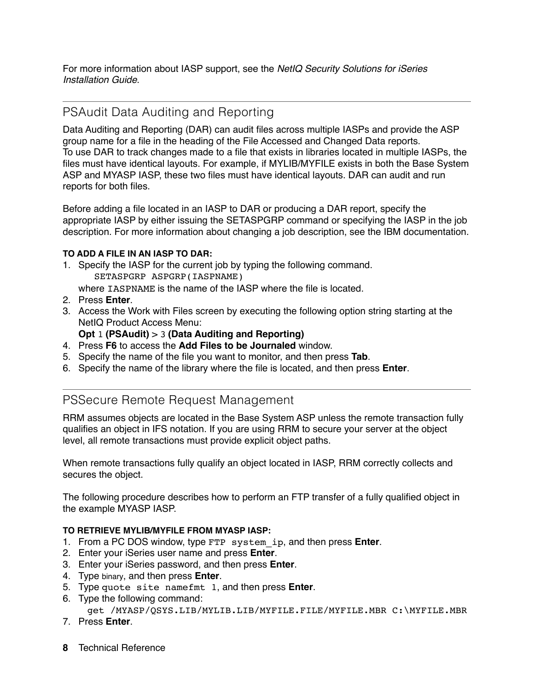For more information about IASP support, see the *NetIQ Security Solutions for iSeries Installation Guide*.

## PSAudit Data Auditing and Reporting

Data Auditing and Reporting (DAR) can audit files across multiple IASPs and provide the ASP group name for a file in the heading of the File Accessed and Changed Data reports. To use DAR to track changes made to a file that exists in libraries located in multiple IASPs, the files must have identical layouts. For example, if MYLIB/MYFILE exists in both the Base System ASP and MYASP IASP, these two files must have identical layouts. DAR can audit and run reports for both files.

Before adding a file located in an IASP to DAR or producing a DAR report, specify the appropriate IASP by either issuing the SETASPGRP command or specifying the IASP in the job description. For more information about changing a job description, see the IBM documentation.

#### **TO ADD A FILE IN AN IASP TO DAR:**

- 1. Specify the IASP for the current job by typing the following command. SETASPGRP ASPGRP(IASPNAME)
	- where IASPNAME is the name of the IASP where the file is located.
- 2. Press **Enter**.
- 3. Access the Work with Files screen by executing the following option string starting at the NetIQ Product Access Menu:
	- **Opt** 1 **(PSAudit)** > 3 **(Data Auditing and Reporting)**
- 4. Press **F6** to access the **Add Files to be Journaled** window.
- 5. Specify the name of the file you want to monitor, and then press **Tab**.
- 6. Specify the name of the library where the file is located, and then press **Enter**.

### PSSecure Remote Request Management

RRM assumes objects are located in the Base System ASP unless the remote transaction fully qualifies an object in IFS notation. If you are using RRM to secure your server at the object level, all remote transactions must provide explicit object paths.

When remote transactions fully qualify an object located in IASP, RRM correctly collects and secures the object.

The following procedure describes how to perform an FTP transfer of a fully qualified object in the example MYASP IASP.

#### **TO RETRIEVE MYLIB/MYFILE FROM MYASP IASP:**

- 1. From a PC DOS window, type FTP system\_ip, and then press **Enter**.
- 2. Enter your iSeries user name and press **Enter**.
- 3. Enter your iSeries password, and then press **Enter**.
- 4. Type binary, and then press **Enter**.
- 5. Type quote site namefmt 1, and then press **Enter**.
- 6. Type the following command:

```
 get /MYASP/QSYS.LIB/MYLIB.LIB/MYFILE.FILE/MYFILE.MBR C:\MYFILE.MBR
```
- 7. Press **Enter**.
- **8** Technical Reference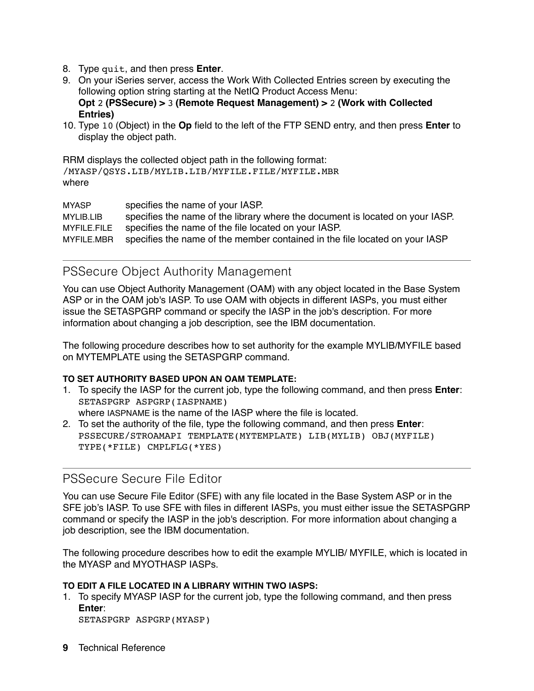- 8. Type quit, and then press **Enter**.
- 9. On your iSeries server, access the Work With Collected Entries screen by executing the following option string starting at the NetIQ Product Access Menu: **Opt** 2 **(PSSecure) >** 3 **(Remote Request Management) >** 2 **(Work with Collected Entries)**
- 10. Type 10 (Object) in the **Op** field to the left of the FTP SEND entry, and then press **Enter** to display the object path.

RRM displays the collected object path in the following format: /MYASP/QSYS.LIB/MYLIB.LIB/MYFILE.FILE/MYFILE.MBR where

MYASP specifies the name of your IASP. MYLIB.LIB specifies the name of the library where the document is located on your IASP. MYFILE.FILE specifies the name of the file located on your IASP. MYFILE.MBR specifies the name of the member contained in the file located on your IASP

#### PSSecure Object Authority Management

You can use Object Authority Management (OAM) with any object located in the Base System ASP or in the OAM job's IASP. To use OAM with objects in different IASPs, you must either issue the SETASPGRP command or specify the IASP in the job's description. For more information about changing a job description, see the IBM documentation.

The following procedure describes how to set authority for the example MYLIB/MYFILE based on MYTEMPLATE using the SETASPGRP command.

#### **TO SET AUTHORITY BASED UPON AN OAM TEMPLATE:**

- 1. To specify the IASP for the current job, type the following command, and then press **Enter**: SETASPGRP ASPGRP(IASPNAME) where IASPNAME is the name of the IASP where the file is located.
- 2. To set the authority of the file, type the following command, and then press **Enter**: PSSECURE/STROAMAPI TEMPLATE(MYTEMPLATE) LIB(MYLIB) OBJ(MYFILE) TYPE(\*FILE) CMPLFLG(\*YES)

#### PSSecure Secure File Editor

You can use Secure File Editor (SFE) with any file located in the Base System ASP or in the SFE job's IASP. To use SFE with files in different IASPs, you must either issue the SETASPGRP command or specify the IASP in the job's description. For more information about changing a job description, see the IBM documentation.

The following procedure describes how to edit the example MYLIB/ MYFILE, which is located in the MYASP and MYOTHASP IASPs.

#### **TO EDIT A FILE LOCATED IN A LIBRARY WITHIN TWO IASPS:**

1. To specify MYASP IASP for the current job, type the following command, and then press **Enter**:

```
SETASPGRP ASPGRP(MYASP)
```
**9** Technical Reference